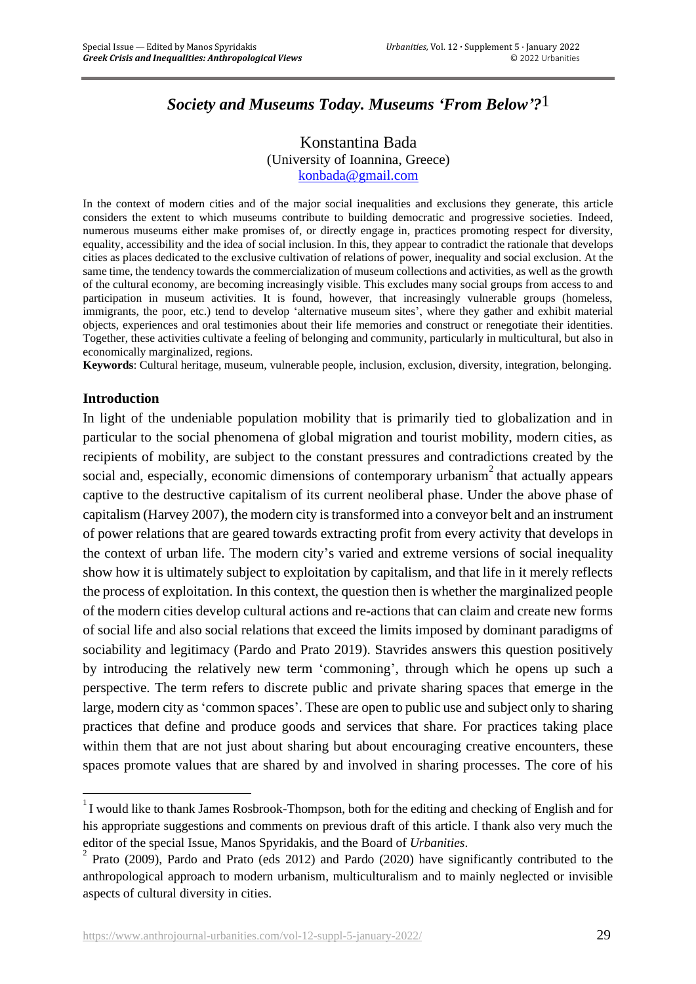# *Society and Museums Today. Museums 'From Below'?*1

### Konstantina Bada (University of Ioannina, Greece) [konbada@gmail.com](mailto:konbada@gmail.com)

In the context of modern cities and of the major social inequalities and exclusions they generate, this article considers the extent to which museums contribute to building democratic and progressive societies. Indeed, numerous museums either make promises of, or directly engage in, practices promoting respect for diversity, equality, accessibility and the idea of social inclusion. In this, they appear to contradict the rationale that develops cities as places dedicated to the exclusive cultivation of relations of power, inequality and social exclusion. At the same time, the tendency towards the commercialization of museum collections and activities, as well as the growth of the cultural economy, are becoming increasingly visible. This excludes many social groups from access to and participation in museum activities. It is found, however, that increasingly vulnerable groups (homeless, immigrants, the poor, etc.) tend to develop 'alternative museum sites', where they gather and exhibit material objects, experiences and oral testimonies about their life memories and construct or renegotiate their identities. Together, these activities cultivate a feeling of belonging and community, particularly in multicultural, but also in economically marginalized, regions.

**Keywords**: Cultural heritage, museum, vulnerable people, inclusion, exclusion, diversity, integration, belonging.

#### **Introduction**

In light of the undeniable population mobility that is primarily tied to globalization and in particular to the social phenomena of global migration and tourist mobility, modern cities, as recipients of mobility, are subject to the constant pressures and contradictions created by the social and, especially, economic dimensions of contemporary urbanism $\alpha$ <sup>2</sup> that actually appears captive to the destructive capitalism of its current neoliberal phase. Under the above phase of capitalism (Harvey 2007), the modern city is transformed into a conveyor belt and an instrument of power relations that are geared towards extracting profit from every activity that develops in the context of urban life. The modern city's varied and extreme versions of social inequality show how it is ultimately subject to exploitation by capitalism, and that life in it merely reflects the process of exploitation. In this context, the question then is whether the marginalized people of the modern cities develop cultural actions and re-actions that can claim and create new forms of social life and also social relations that exceed the limits imposed by dominant paradigms of sociability and legitimacy (Pardo and Prato 2019). Stavrides answers this question positively by introducing the relatively new term 'commoning', through which he opens up such a perspective. The term refers to discrete public and private sharing spaces that emerge in the large, modern city as 'common spaces'. These are open to public use and subject only to sharing practices that define and produce goods and services that share. For practices taking place within them that are not just about sharing but about encouraging creative encounters, these spaces promote values that are shared by and involved in sharing processes. The core of his

 $1$  I would like to thank James Rosbrook-Thompson, both for the editing and checking of English and for his appropriate suggestions and comments on previous draft of this article. I thank also very much the editor of the special Issue, Manos Spyridakis, and the Board of *Urbanities*.

<sup>2</sup> Prato (2009), Pardo and Prato (eds 2012) and Pardo (2020) have significantly contributed to the anthropological approach to modern urbanism, multiculturalism and to mainly neglected or invisible aspects of cultural diversity in cities.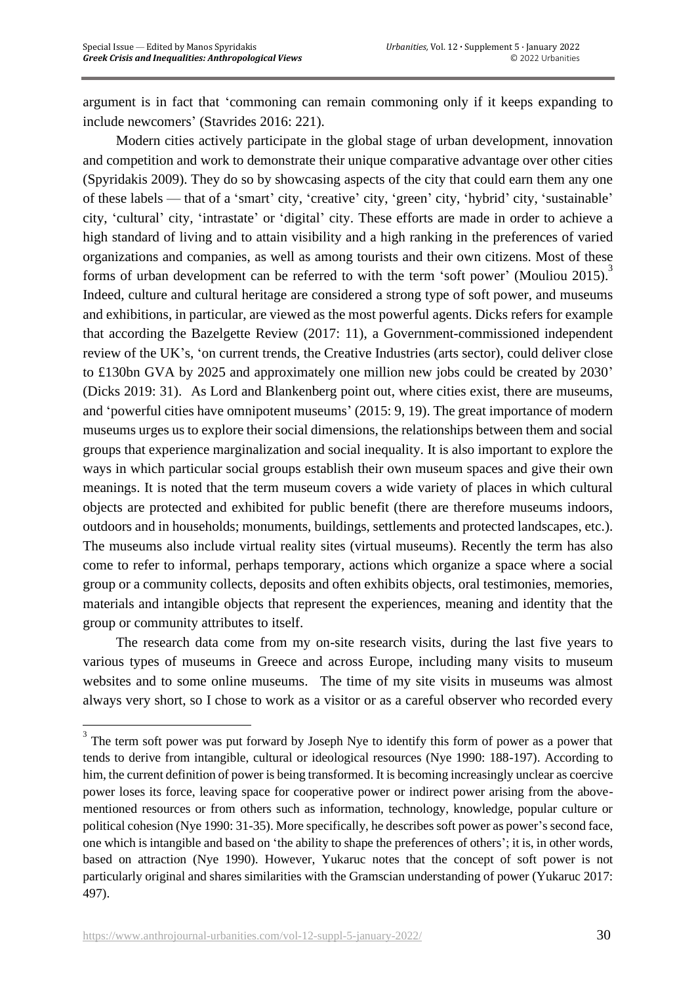argument is in fact that 'commoning can remain commoning only if it keeps expanding to include newcomers' (Stavrides 2016: 221).

Modern cities actively participate in the global stage of urban development, innovation and competition and work to demonstrate their unique comparative advantage over other cities (Spyridakis 2009). They do so by showcasing aspects of the city that could earn them any one of these labels — that of a 'smart' city, 'creative' city, 'green' city, 'hybrid' city, 'sustainable' city, 'cultural' city, 'intrastate' or 'digital' city. These efforts are made in order to achieve a high standard of living and to attain visibility and a high ranking in the preferences of varied organizations and companies, as well as among tourists and their own citizens. Most of these forms of urban development can be referred to with the term 'soft power' (Mouliou 2015). Indeed, culture and cultural heritage are considered a strong type of soft power, and museums and exhibitions, in particular, are viewed as the most powerful agents. Dicks refers for example that according the Bazelgette Review (2017: 11), a Government-commissioned independent review of the UK's, 'on current trends, the Creative Industries (arts sector), could deliver close to £130bn GVA by 2025 and approximately one million new jobs could be created by 2030' (Dicks 2019: 31). As Lord and Blankenberg point out, where cities exist, there are museums, and 'powerful cities have omnipotent museums' (2015: 9, 19). The great importance of modern museums urges us to explore their social dimensions, the relationships between them and social groups that experience marginalization and social inequality. It is also important to explore the ways in which particular social groups establish their own museum spaces and give their own meanings. It is noted that the term museum covers a wide variety of places in which cultural objects are protected and exhibited for public benefit (there are therefore museums indoors, outdoors and in households; monuments, buildings, settlements and protected landscapes, etc.). The museums also include virtual reality sites (virtual museums). Recently the term has also come to refer to informal, perhaps temporary, actions which organize a space where a social group or a community collects, deposits and often exhibits objects, oral testimonies, memories, materials and intangible objects that represent the experiences, meaning and identity that the group or community attributes to itself.

The research data come from my on-site research visits, during the last five years to various types of museums in Greece and across Europe, including many visits to museum websites and to some online museums. The time of my site visits in museums was almost always very short, so I chose to work as a visitor or as a careful observer who recorded every

 $3$  The term soft power was put forward by Joseph Nye to identify this form of power as a power that tends to derive from intangible, cultural or ideological resources (Nye 1990: 188-197). According to him, the current definition of power is being transformed. It is becoming increasingly unclear as coercive power loses its force, leaving space for cooperative power or indirect power arising from the abovementioned resources or from others such as information, technology, knowledge, popular culture or political cohesion (Nye 1990: 31-35). More specifically, he describes soft power as power's second face, one which is intangible and based on 'the ability to shape the preferences of others'; it is, in other words, based on attraction (Nye 1990). However, Yukaruc notes that the concept of soft power is not particularly original and shares similarities with the Gramscian understanding of power (Yukaruc 2017: 497).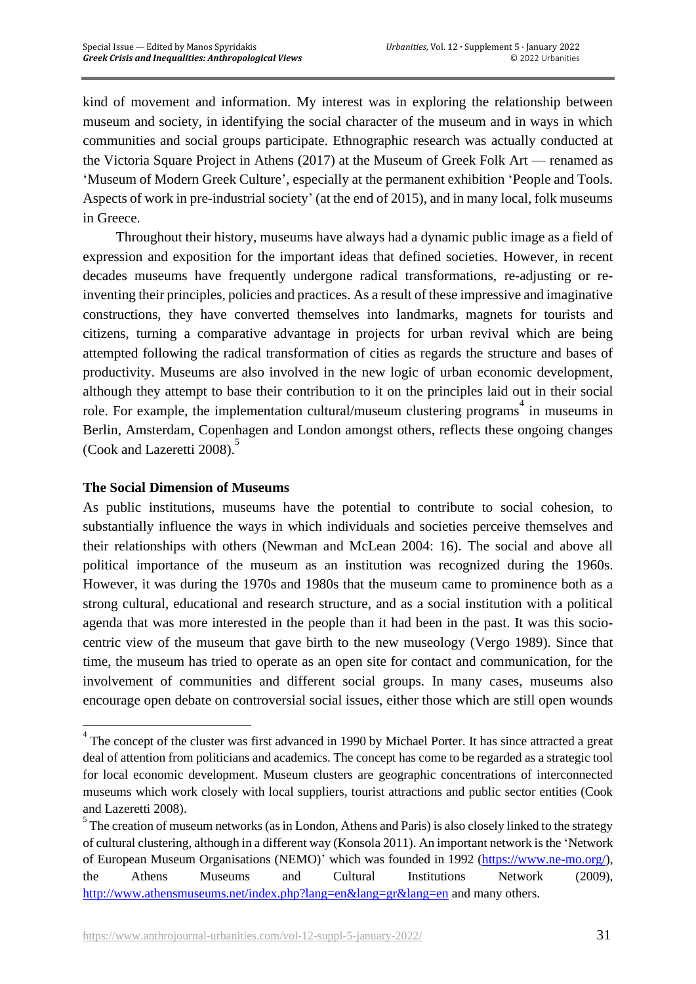kind of movement and information. My interest was in exploring the relationship between museum and society, in identifying the social character of the museum and in ways in which communities and social groups participate. Ethnographic research was actually conducted at the Victoria Square Project in Athens (2017) at the Museum of Greek Folk Art — renamed as 'Museum of Modern Greek Culture', especially at the permanent exhibition 'People and Tools. Aspects of work in pre-industrial society' (at the end of 2015), and in many local, folk museums in Greece.

Throughout their history, museums have always had a dynamic public image as a field of expression and exposition for the important ideas that defined societies. However, in recent decades museums have frequently undergone radical transformations, re-adjusting or reinventing their principles, policies and practices. As a result of these impressive and imaginative constructions, they have converted themselves into landmarks, magnets for tourists and citizens, turning a comparative advantage in projects for urban revival which are being attempted following the radical transformation of cities as regards the structure and bases of productivity. Museums are also involved in the new logic of urban economic development, although they attempt to base their contribution to it on the principles laid out in their social role. For example, the implementation cultural/museum clustering programs<sup>4</sup> in museums in Berlin, Amsterdam, Copenhagen and London amongst others, reflects these ongoing changes (Cook and Lazeretti 2008). 5

## **The Social Dimension of Museums**

As public institutions, museums have the potential to contribute to social cohesion, to substantially influence the ways in which individuals and societies perceive themselves and their relationships with others (Newman and McLean 2004: 16). The social and above all political importance of the museum as an institution was recognized during the 1960s. However, it was during the 1970s and 1980s that the museum came to prominence both as a strong cultural, educational and research structure, and as a social institution with a political agenda that was more interested in the people than it had been in the past. It was this sociocentric view of the museum that gave birth to the new museology (Vergo 1989). Since that time, the museum has tried to operate as an open site for contact and communication, for the involvement of communities and different social groups. In many cases, museums also encourage open debate on controversial social issues, either those which are still open wounds

<sup>&</sup>lt;sup>4</sup> The concept of the cluster was first advanced in 1990 by Michael Porter. It has since attracted a great deal of attention from politicians and academics. The concept has come to be regarded as a strategic tool for local economic development. Museum clusters are geographic concentrations of interconnected museums which work closely with local suppliers, tourist attractions and public sector entities (Cook and Lazeretti 2008).

 $<sup>5</sup>$  The creation of museum networks (as in London, Athens and Paris) is also closely linked to the strategy</sup> of cultural clustering, although in a different way (Konsola 2011). An important network is the 'Network of European Museum Organisations (NEMO)' which was founded in 1992 [\(https://www.ne-mo.org/\)](https://www.ne-mo.org/), the Athens Museums and Cultural Institutions Network (2009), <http://www.athensmuseums.net/index.php?lang=en&lang=gr&lang=en> and many others.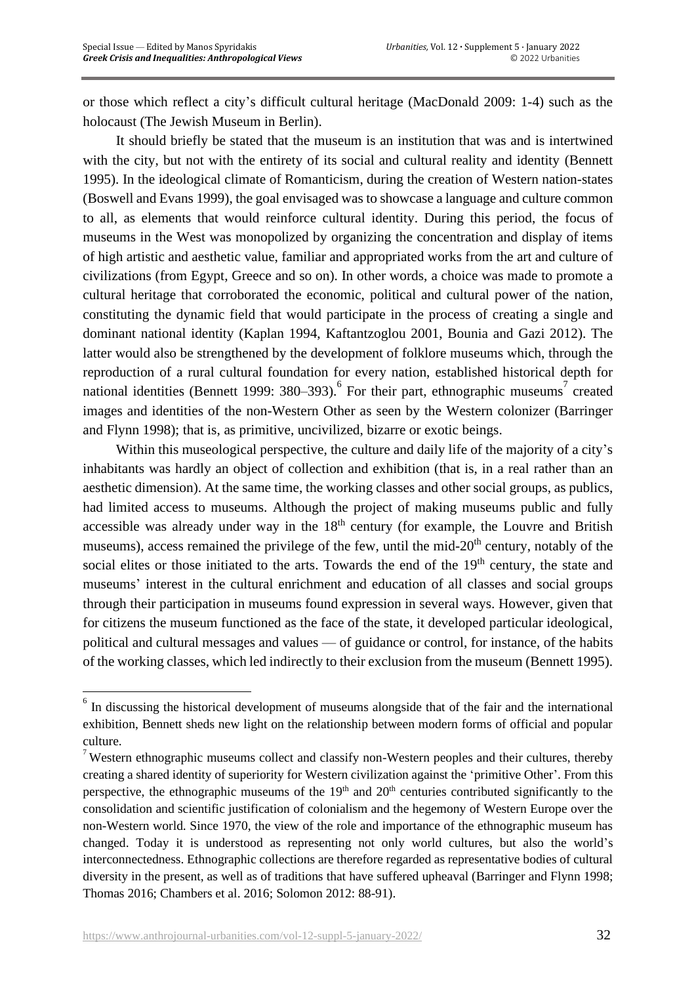or those which reflect a city's difficult cultural heritage (MacDonald 2009: 1-4) such as the holocaust (The Jewish Museum in Berlin).

It should briefly be stated that the museum is an institution that was and is intertwined with the city, but not with the entirety of its social and cultural reality and identity (Bennett 1995). In the ideological climate of Romanticism, during the creation of Western nation-states (Boswell and Evans 1999), the goal envisaged was to showcase a language and culture common to all, as elements that would reinforce cultural identity. During this period, the focus of museums in the West was monopolized by organizing the concentration and display of items of high artistic and aesthetic value, familiar and appropriated works from the art and culture of civilizations (from Egypt, Greece and so on). In other words, a choice was made to promote a cultural heritage that corroborated the economic, political and cultural power of the nation, constituting the dynamic field that would participate in the process of creating a single and dominant national identity (Kaplan 1994, Kaftantzoglou 2001, Bounia and Gazi 2012). The latter would also be strengthened by the development of folklore museums which, through the reproduction of a rural cultural foundation for every nation, established historical depth for national identities (Bennett 1999: 380–393). For their part, ethnographic museums<sup>7</sup> created images and identities of the non-Western Other as seen by the Western colonizer (Barringer and Flynn 1998); that is, as primitive, uncivilized, bizarre or exotic beings.

Within this museological perspective, the culture and daily life of the majority of a city's inhabitants was hardly an object of collection and exhibition (that is, in a real rather than an aesthetic dimension). At the same time, the working classes and other social groups, as publics, had limited access to museums. Although the project of making museums public and fully accessible was already under way in the  $18<sup>th</sup>$  century (for example, the Louvre and British museums), access remained the privilege of the few, until the mid-20<sup>th</sup> century, notably of the social elites or those initiated to the arts. Towards the end of the 19<sup>th</sup> century, the state and museums' interest in the cultural enrichment and education of all classes and social groups through their participation in museums found expression in several ways. However, given that for citizens the museum functioned as the face of the state, it developed particular ideological, political and cultural messages and values — of guidance or control, for instance, of the habits of the working classes, which led indirectly to their exclusion from the museum (Bennett 1995).

<sup>&</sup>lt;sup>6</sup> In discussing the historical development of museums alongside that of the fair and the international exhibition, Bennett sheds new light on the relationship between modern forms of official and popular culture.

<sup>7</sup> Western ethnographic museums collect and classify non-Western peoples and their cultures, thereby creating a shared identity of superiority for Western civilization against the 'primitive Other'. From this perspective, the ethnographic museums of the  $19<sup>th</sup>$  and  $20<sup>th</sup>$  centuries contributed significantly to the consolidation and scientific justification of colonialism and the hegemony of Western Europe over the non-Western world. Since 1970, the view of the role and importance of the ethnographic museum has changed. Today it is understood as representing not only world cultures, but also the world's interconnectedness. Ethnographic collections are therefore regarded as representative bodies of cultural diversity in the present, as well as of traditions that have suffered upheaval (Barringer and Flynn 1998; Thomas 2016; Chambers et al. 2016; Solomon 2012: 88-91).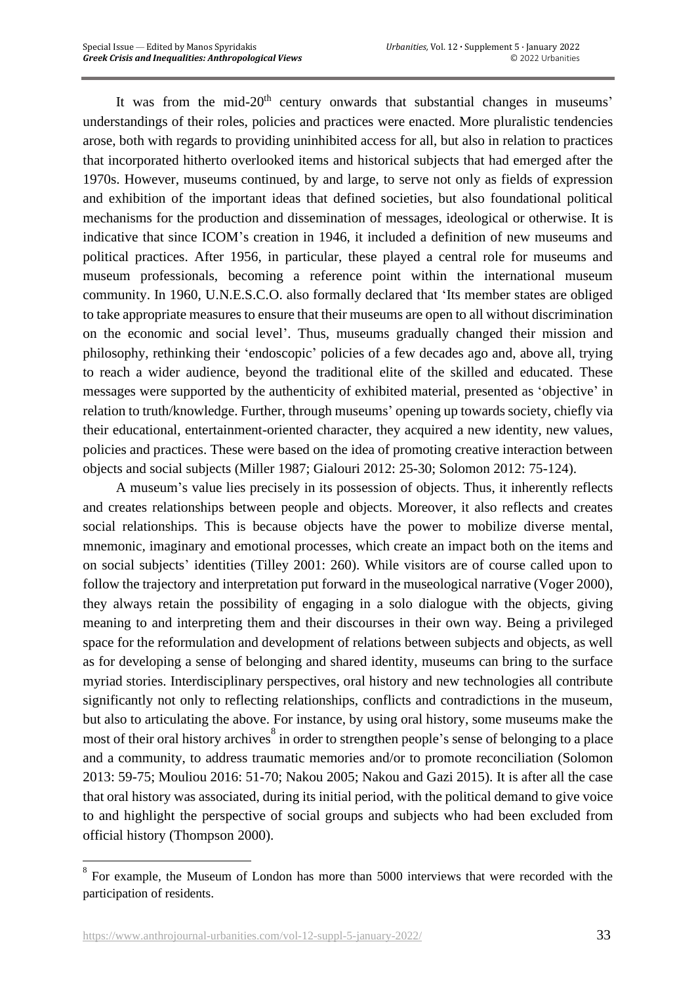It was from the mid-20<sup>th</sup> century onwards that substantial changes in museums' understandings of their roles, policies and practices were enacted. More pluralistic tendencies arose, both with regards to providing uninhibited access for all, but also in relation to practices that incorporated hitherto overlooked items and historical subjects that had emerged after the 1970s. However, museums continued, by and large, to serve not only as fields of expression and exhibition of the important ideas that defined societies, but also foundational political mechanisms for the production and dissemination of messages, ideological or otherwise. It is indicative that since ICOM's creation in 1946, it included a definition of new museums and political practices. After 1956, in particular, these played a central role for museums and museum professionals, becoming a reference point within the international museum community. In 1960, U.N.E.S.C.O. also formally declared that 'Its member states are obliged to take appropriate measures to ensure that their museums are open to all without discrimination on the economic and social level'. Thus, museums gradually changed their mission and philosophy, rethinking their 'endoscopic' policies of a few decades ago and, above all, trying to reach a wider audience, beyond the traditional elite of the skilled and educated. These messages were supported by the authenticity of exhibited material, presented as 'objective' in relation to truth/knowledge. Further, through museums' opening up towards society, chiefly via their educational, entertainment-oriented character, they acquired a new identity, new values, policies and practices. These were based on the idea of promoting creative interaction between objects and social subjects (Miller 1987; Gialouri 2012: 25-30; Solomon 2012: 75-124).

A museum's value lies precisely in its possession of objects. Thus, it inherently reflects and creates relationships between people and objects. Moreover, it also reflects and creates social relationships. This is because objects have the power to mobilize diverse mental, mnemonic*,* imaginary and emotional processes, which create an impact both on the items and on social subjects' identities (Tilley 2001: 260). While visitors are of course called upon to follow the trajectory and interpretation put forward in the museological narrative (Voger 2000), they always retain the possibility of engaging in a solo dialogue with the objects, giving meaning to and interpreting them and their discourses in their own way. Being a privileged space for the reformulation and development of relations between subjects and objects, as well as for developing a sense of belonging and shared identity, museums can bring to the surface myriad stories. Interdisciplinary perspectives, oral history and new technologies all contribute significantly not only to reflecting relationships, conflicts and contradictions in the museum, but also to articulating the above. For instance, by using oral history, some museums make the most of their oral history archives  $\sin$  order to strengthen people's sense of belonging to a place and a community, to address traumatic memories and/or to promote reconciliation (Solomon 2013: 59-75; Mouliou 2016: 51-70; Nakou 2005; Nakou and Gazi 2015). It is after all the case that oral history was associated, during its initial period, with the political demand to give voice to and highlight the perspective of social groups and subjects who had been excluded from official history (Thompson 2000).

 $8\,$  For example, the Museum of London has more than 5000 interviews that were recorded with the participation of residents.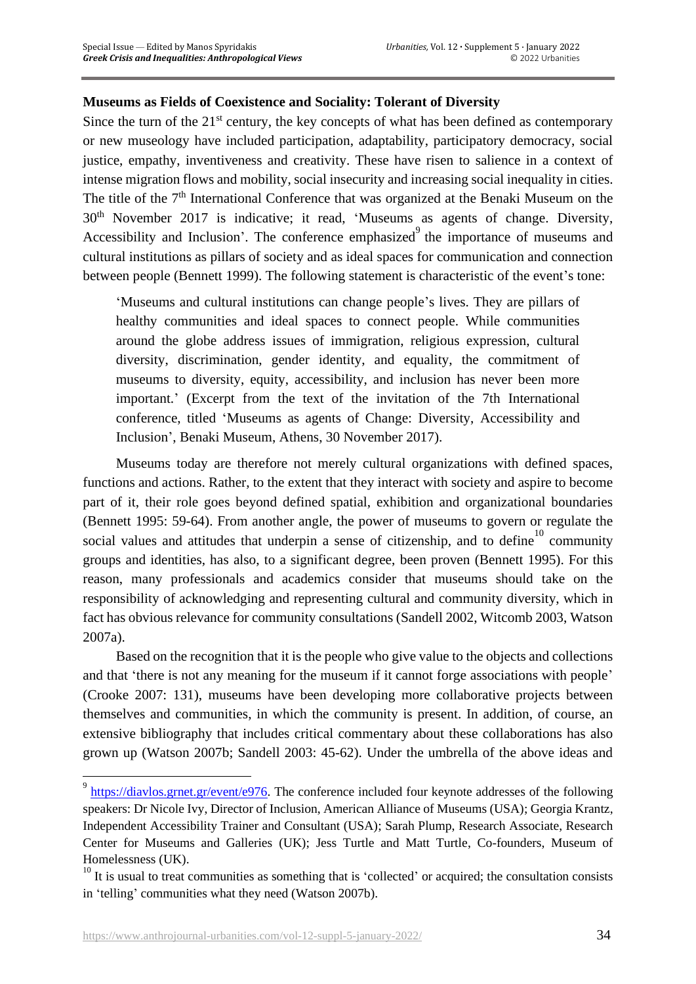## **Museums as Fields of Coexistence and Sociality: Tolerant of Diversity**

Since the turn of the  $21<sup>st</sup>$  century, the key concepts of what has been defined as contemporary or new museology have included participation, adaptability, participatory democracy, social justice, empathy, inventiveness and creativity. These have risen to salience in a context of intense migration flows and mobility, social insecurity and increasing social inequality in cities. The title of the 7<sup>th</sup> International Conference that was organized at the Benaki Museum on the 30th November 2017 is indicative; it read, 'Museums as agents of change. Diversity, Accessibility and Inclusion'. The conference emphasized  $\theta$  the importance of museums and cultural institutions as pillars of society and as ideal spaces for communication and connection between people (Bennett 1999). The following statement is characteristic of the event's tone:

'Museums and cultural institutions can change people's lives. They are pillars of healthy communities and ideal spaces to connect people. While communities around the globe address issues of immigration, religious expression, cultural diversity, discrimination, gender identity, and equality, the commitment of museums to diversity, equity, accessibility, and inclusion has never been more important.' (Excerpt from the text of the invitation of the 7th International conference, titled 'Museums as agents of Change: Diversity, Accessibility and Inclusion', Benaki Museum, Athens, 30 November 2017).

Museums today are therefore not merely cultural organizations with defined spaces, functions and actions. Rather, to the extent that they interact with society and aspire to become part of it, their role goes beyond defined spatial, exhibition and organizational boundaries (Bennett 1995: 59-64). From another angle, the power of museums to govern or regulate the social values and attitudes that underpin a sense of citizenship, and to define<sup>10</sup> community groups and identities, has also, to a significant degree, been proven (Bennett 1995). For this reason, many professionals and academics consider that museums should take on the responsibility of acknowledging and representing cultural and community diversity, which in fact has obvious relevance for community consultations (Sandell 2002, Witcomb 2003, Watson 2007a).

Based on the recognition that it is the people who give value to the objects and collections and that 'there is not any meaning for the museum if it cannot forge associations with people' (Crooke 2007: 131), museums have been developing more collaborative projects between themselves and communities, in which the community is present. In addition, of course, an extensive bibliography that includes critical commentary about these collaborations has also grown up (Watson 2007b; Sandell 2003: 45-62). Under the umbrella of the above ideas and

<sup>9</sup> [https://diavlos.grnet.gr/event/e976.](https://diavlos.grnet.gr/event/e976) The conference included four keynote addresses of the following speakers: Dr Nicole Ivy, Director of Inclusion, American Alliance of Museums (USA); Georgia Krantz, Independent Accessibility Trainer and Consultant (USA); Sarah Plump, Research Associate, Research Center for Museums and Galleries (UK); Jess Turtle and Matt Turtle, Co-founders, Museum of Homelessness (UK).

 $10<sup>10</sup>$  It is usual to treat communities as something that is 'collected' or acquired; the consultation consists in 'telling' communities what they need (Watson 2007b).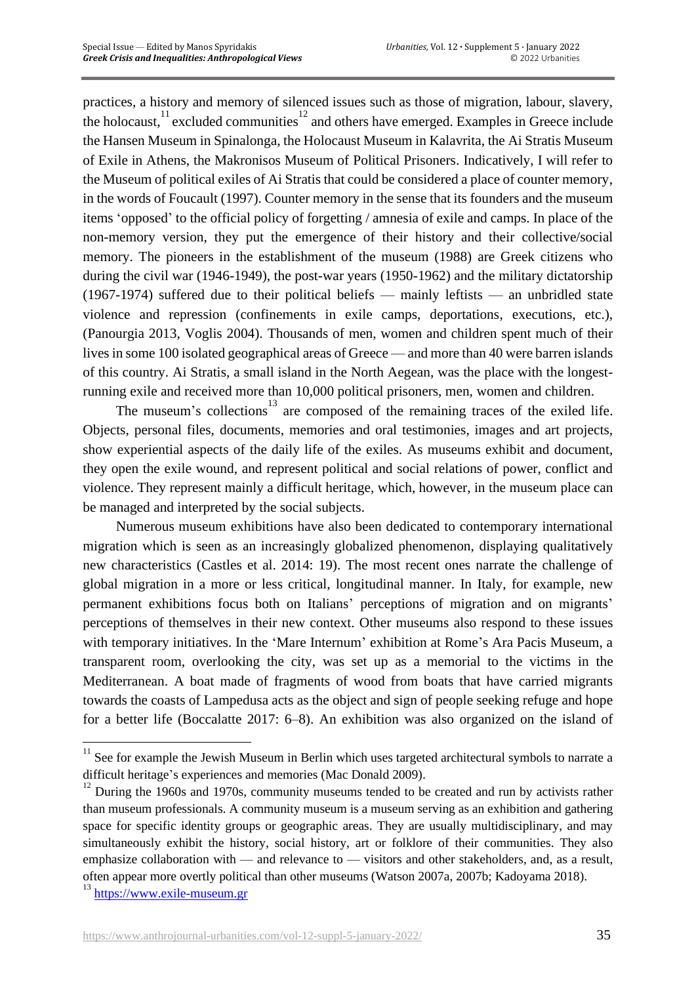practices, a history and memory of silenced issues such as those of migration, labour, slavery, the holocaust,  $11$  excluded communities  $12$  and others have emerged. Examples in Greece include the Hansen Museum in Spinalonga, the Holocaust Museum in Kalavrita, the Ai Stratis Museum of Exile in Athens, the Makronisos Museum of Political Prisoners. Indicatively, I will refer to the Museum of political exiles of Ai Stratis that could be considered a place of counter memory, in the words of Foucault (1997). Counter memory in the sense that its founders and the museum items 'opposed' to the official policy of forgetting / amnesia of exile and camps. In place of the non-memory version, they put the emergence of their history and their collective/social memory. The pioneers in the establishment of the museum (1988) are Greek citizens who during the civil war (1946-1949), the post-war years (1950-1962) and the military dictatorship (1967-1974) suffered due to their political beliefs — mainly leftists — an unbridled state violence and repression (confinements in exile camps, deportations, executions, etc.), (Panourgia 2013, Voglis 2004). Thousands of men, women and children spent much of their lives in some 100 isolated geographical areas of Greece — and more than 40 were barren islands of this country. Ai Stratis, a small island in the North Aegean, was the place with the longestrunning exile and received more than 10,000 political prisoners, men, women and children.

The museum's collections<sup>13</sup> are composed of the remaining traces of the exiled life. Objects, personal files, documents, memories and oral testimonies, images and art projects, show experiential aspects of the daily life of the exiles. As museums exhibit and document, they open the exile wound, and represent political and social relations of power, conflict and violence. They represent mainly a difficult heritage, which, however, in the museum place can be managed and interpreted by the social subjects.

Numerous museum exhibitions have also been dedicated to contemporary international migration which is seen as an increasingly globalized phenomenon, displaying qualitatively new characteristics (Castles et al. 2014: 19). The most recent ones narrate the challenge of global migration in a more or less critical, longitudinal manner. In Italy, for example, new permanent exhibitions focus both on Italians' perceptions of migration and on migrants' perceptions of themselves in their new context. Other museums also respond to these issues with temporary initiatives. In the 'Mare Internum' exhibition at Rome's Ara Pacis Museum, a transparent room, overlooking the city, was set up as a memorial to the victims in the Mediterranean. A boat made of fragments of wood from boats that have carried migrants towards the coasts of Lampedusa acts as the object and sign of people seeking refuge and hope for a better life (Boccalatte 2017: 6–8). An exhibition was also organized on the island of

 $11$  See for example the Jewish Museum in Berlin which uses targeted architectural symbols to narrate a difficult heritage's experiences and memories (Mac Donald 2009).

 $12$  During the 1960s and 1970s, community museums tended to be created and run by activists rather than museum professionals. A community museum is a museum serving as an exhibition and gathering space for specific identity groups or geographic areas. They are usually multidisciplinary, and may simultaneously exhibit the history, social history, art or [folklore](https://en.wikipedia.org/wiki/Folklore) of their communities. They also emphasize collaboration with — and relevance to — visitors and other stakeholders, and, as a result, often appear more overtly political than other museums (Watson 2007a, 2007b; Kadoyama 2018).

[https://www.exile-museum.gr](https://www.exile-museum.gr/)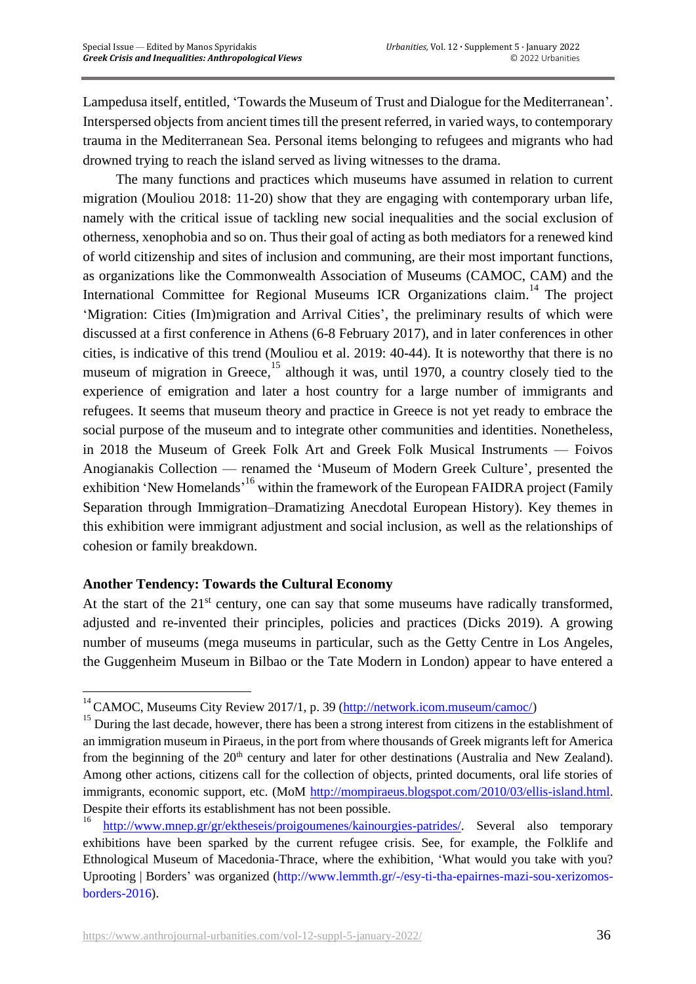Lampedusa itself, entitled, 'Towards the Museum of Trust and Dialogue for the Mediterranean'. Interspersed objects from ancient times till the present referred, in varied ways, to contemporary trauma in the Mediterranean Sea. Personal items belonging to refugees and migrants who had drowned trying to reach the island served as living witnesses to the drama.

The many functions and practices which museums have assumed in relation to current migration (Mouliou 2018: 11-20) show that they are engaging with contemporary urban life, namely with the critical issue of tackling new social inequalities and the social exclusion of otherness, xenophobia and so on. Thus their goal of acting as both mediators for a renewed kind of world citizenship and sites of inclusion and communing, are their most important functions, as organizations like the Commonwealth Association of Museums (CAMOC, CAM) and the International Committee for Regional Museums ICR Organizations claim.<sup>14</sup> The project 'Migration: Cities (Im)migration and Arrival Cities', the preliminary results of which were discussed at a first conference in Athens (6-8 February 2017), and in later conferences in other cities, is indicative of this trend (Mouliou et al. 2019: 40-44). It is noteworthy that there is no museum of migration in Greece,<sup>15</sup> although it was, until 1970, a country closely tied to the experience of emigration and later a host country for a large number of immigrants and refugees. It seems that museum theory and practice in Greece is not yet ready to embrace the social purpose of the museum and to integrate other communities and identities. Nonetheless, in 2018 the Museum of Greek Folk Art and Greek Folk Musical Instruments — Foivos Anogianakis Collection — renamed the 'Museum of Modern Greek Culture', presented the exhibition 'New Homelands'<sup>16</sup> within the framework of the European FAIDRA project (Family Separation through Immigration–Dramatizing Anecdotal European History). Key themes in this exhibition were immigrant adjustment and social inclusion, as well as the relationships of cohesion or family breakdown.

### **Another Tendency: Towards the Cultural Economy**

At the start of the  $21<sup>st</sup>$  century, one can say that some museums have radically transformed, adjusted and re-invented their principles, policies and practices (Dicks 2019). A growing number of museums (mega museums in particular, such as the Getty Centre in Los Angeles, the Guggenheim Museum in Bilbao or the Tate Modern in London) appear to have entered a

<sup>&</sup>lt;sup>14</sup> CAMOC, Museums City Review 2017/1, p. 39 [\(http://network.icom.museum/camoc/\)](http://network.icom.museum/camoc/)

<sup>&</sup>lt;sup>15</sup> During the last decade, however, there has been a strong interest from citizens in the establishment of an immigration museum in Piraeus, in the port from where thousands of Greek migrants left for America from the beginning of the 20<sup>th</sup> century and later for other destinations (Australia and New Zealand). Among other actions, citizens call for the collection of objects, printed documents, oral life stories of immigrants, economic support, etc. (MoM [http://mompiraeus.blogspot.com/2010/03/ellis-island.html.](http://mompiraeus.blogspot.com/2010/03/ellis-island.html) Despite their efforts its establishment has not been possible.

[http://www.mnep.gr/gr/ektheseis/proigoumenes/kainourgies-patrides/.](http://www.mnep.gr/gr/ektheseis/proigoumenes/kainourgies-patrides/) Several also temporary exhibitions have been sparked by the current refugee crisis. See, for example, the Fοlklife and Ethnological Museum of Macedonia-Thrace, where the exhibition, 'What would you take with you? Uprooting | Borders' was organized (http://www.lemmth.gr/-/esy-ti-tha-epairnes-mazi-sou-xerizomosborders-2016).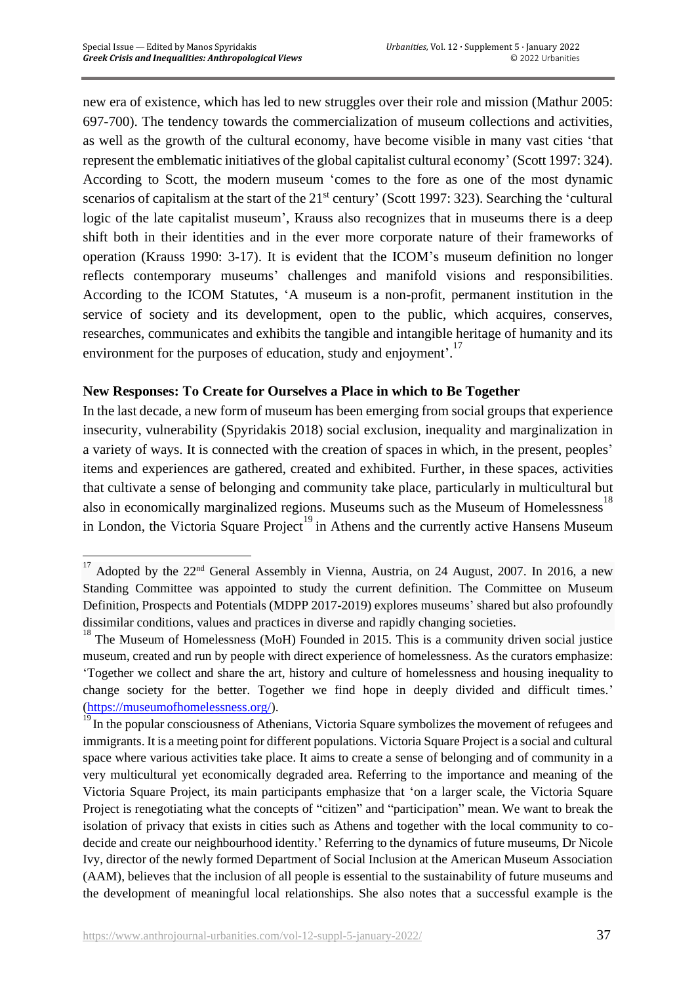new era of existence, which has led to new struggles over their role and mission (Mathur 2005: 697-700). The tendency towards the commercialization of museum collections and activities, as well as the growth of the cultural economy, have become visible in many vast cities 'that represent the emblematic initiatives of the global capitalist cultural economy' (Scott 1997: 324). According to Scott, the modern museum 'comes to the fore as one of the most dynamic scenarios of capitalism at the start of the 21<sup>st</sup> century' (Scott 1997: 323). Searching the 'cultural logic of the late capitalist museum', Krauss also recognizes that in museums there is a deep shift both in their identities and in the ever more corporate nature of their frameworks of operation (Krauss 1990: 3-17). It is evident that the ICOM's museum definition no longer reflects contemporary museums' challenges and manifold visions and responsibilities. According to the ICOM Statutes, 'A museum is a non-profit, permanent institution in the service of society and its development, open to the public, which acquires, conserves, researches, communicates and exhibits the tangible and intangible heritage of humanity and its environment for the purposes of education, study and enjoyment'.<sup>17</sup>

### **New Responses: Τo Create for Ourselves a Place in which to Be Together**

In the last decade, a new form of museum has been emerging from social groups that experience insecurity, vulnerability (Spyridakis 2018) social exclusion, inequality and marginalization in a variety of ways. It is connected with the creation of spaces in which, in the present, peoples' items and experiences are gathered, created and exhibited. Further, in these spaces, activities that cultivate a sense of belonging and community take place, particularly in multicultural but also in economically marginalized regions. Museums such as the Museum of Homelessness<sup>18</sup> in London, the Victoria Square Project<sup>19</sup> in Athens and the currently active Hansens Museum

<sup>&</sup>lt;sup>17</sup> Adopted by the 22<sup>nd</sup> General Assembly in Vienna, Austria, on 24 August, 2007. In 2016, a new Standing Committee was appointed to study the current definition. The Committee on Museum Definition, Prospects and Potentials (MDPP 2017-2019) explores museums' shared but also profoundly dissimilar conditions, values and practices in diverse and rapidly changing societies.

<sup>&</sup>lt;sup>18</sup> The Museum of Homelessness (MoH) Founded in 2015. This is a community driven social justice museum, created and run by people with direct experience of homelessness. As the curators emphasize: 'Together we collect and share the art, history and culture of homelessness and housing inequality to change society for the better. Together we find hope in deeply divided and difficult times.' [\(https://museumofhomelessness.org/\)](https://museumofhomelessness.org/).

 $\degree$ In the popular consciousness of Athenians, Victoria Square symbolizes the movement of refugees and immigrants. It is a meeting point for different populations. Victoria Square Project is a social and cultural space where various activities take place. It aims to create a sense of belonging and of community in a very multicultural yet economically degraded area. Referring to the importance and meaning of the Victoria Square Project, its main participants emphasize that 'on a larger scale, the Victoria Square Project is renegotiating what the concepts of "citizen" and "participation" mean. We want to break the isolation of privacy that exists in cities such as Athens and together with the local community to codecide and create our neighbourhood identity.' Referring to the dynamics of future museums, Dr Nicole Ivy, director of the newly formed Department of Social Inclusion at the American Museum Association (AAM), believes that the inclusion of all people is essential to the sustainability of future museums and the development of meaningful local relationships. She also notes that a successful example is the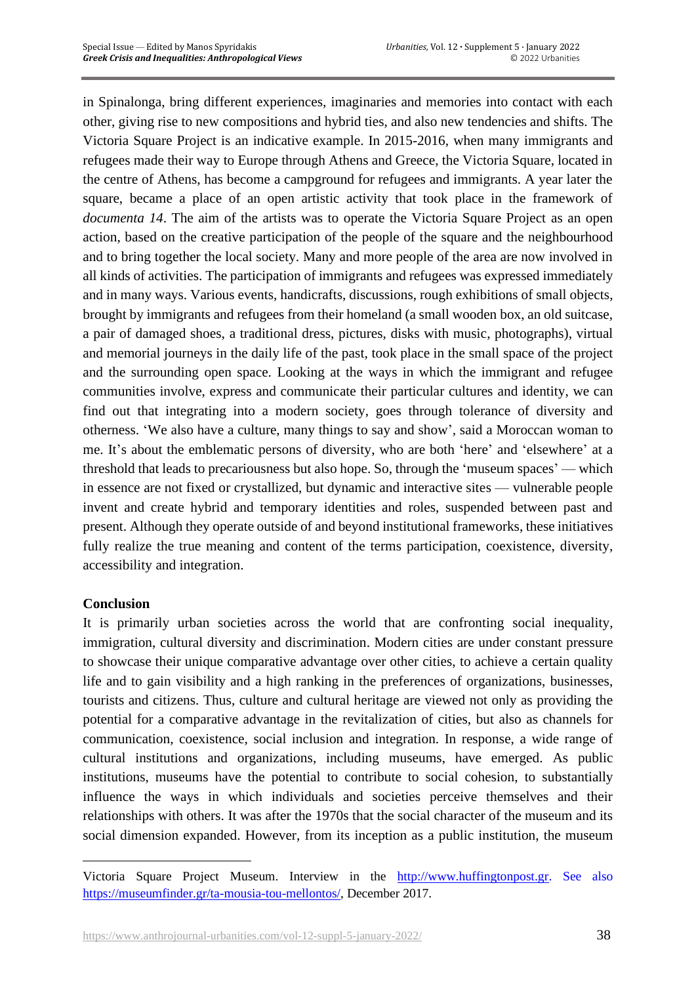in Spinalonga, bring different experiences, imaginaries and memories into contact with each other, giving rise to new compositions and hybrid ties, and also new tendencies and shifts. The Victoria Square Project is an indicative example. In 2015-2016, when many immigrants and refugees made their way to Europe through Athens and Greece, the Victoria Square, located in the centre of Athens, has become a campground for refugees and immigrants. A year later the square, became a place of an open artistic activity that took place in the framework of *documenta 14*. The aim of the artists was to operate the Victoria Square Project as an open action, based on the creative participation of the people of the square and the neighbourhood and to bring together the local society. Many and more people of the area are now involved in all kinds of activities. The participation of immigrants and refugees was expressed immediately and in many ways. Various events, handicrafts, discussions, rough exhibitions of small objects, brought by immigrants and refugees from their homeland (a small wooden box, an old suitcase, a pair of damaged shoes, a traditional dress, pictures, disks with music, photographs), virtual and memorial journeys in the daily life of the past, took place in the small space of the project and the surrounding open space. Looking at the ways in which the immigrant and refugee communities involve, express and communicate their particular cultures and identity, we can find out that integrating into a modern society, goes through tolerance of diversity and otherness. 'We also have a culture, many things to say and show'*,* said a Moroccan woman to me. It's about the emblematic persons of diversity, who are both 'here' and 'elsewhere' at a threshold that leads to precariousness but also hope. So, through the 'museum spaces' — which in essence are not fixed or crystallized, but dynamic and interactive sites — vulnerable people invent and create hybrid and temporary identities and roles, suspended between past and present. Although they operate outside of and beyond institutional frameworks, these initiatives fully realize the true meaning and content of the terms participation, coexistence, diversity, accessibility and integration.

### **Conclusion**

It is primarily urban societies across the world that are confronting social inequality, immigration, cultural diversity and discrimination. Modern cities are under constant pressure to showcase their unique comparative advantage over other cities, to achieve a certain quality life and to gain visibility and a high ranking in the preferences of organizations, businesses, tourists and citizens. Thus, culture and cultural heritage are viewed not only as providing the potential for a comparative advantage in the revitalization of cities, but also as channels for communication, coexistence, social inclusion and integration. In response, a wide range of cultural institutions and organizations, including museums, have emerged. As public institutions, museums have the potential to contribute to social cohesion, to substantially influence the ways in which individuals and societies perceive themselves and their relationships with others. It was after the 1970s that the social character of the museum and its social dimension expanded. However, from its inception as a public institution, the museum

Victoria Square Project Museum. Interview in the [http://www.huffingtonpost.gr.](http://www.huffingtonpost.gr/) See also [https://museumfinder.gr/ta-mousia-tou-mellontos/,](https://museumfinder.gr/ta-mousia-tou-mellontos/) December 2017.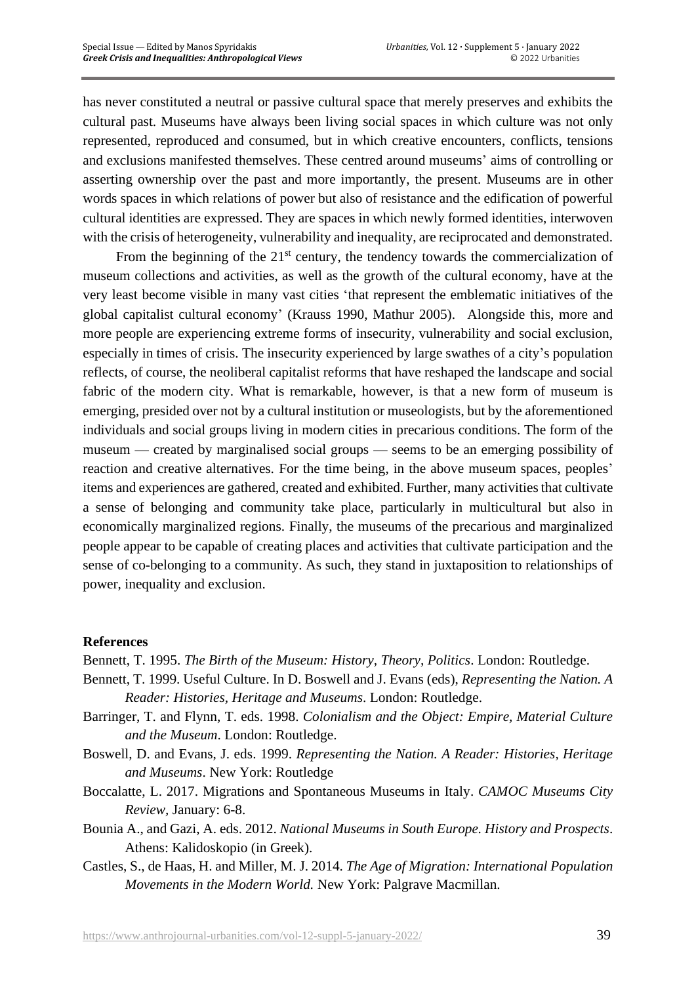has never constituted a neutral or passive cultural space that merely preserves and exhibits the cultural past. Museums have always been living social spaces in which culture was not only represented, reproduced and consumed, but in which creative encounters, conflicts, tensions and exclusions manifested themselves. These centred around museums' aims of controlling or asserting ownership over the past and more importantly, the present. Museums are in other words spaces in which relations of power but also of resistance and the edification of powerful cultural identities are expressed. They are spaces in which newly formed identities, interwoven with the crisis of heterogeneity, vulnerability and inequality, are reciprocated and demonstrated.

From the beginning of the  $21<sup>st</sup>$  century, the tendency towards the commercialization of museum collections and activities, as well as the growth of the cultural economy, have at the very least become visible in many vast cities 'that represent the emblematic initiatives of the global capitalist cultural economy' (Krauss 1990, Mathur 2005). Alongside this, more and more people are experiencing extreme forms of insecurity, vulnerability and social exclusion, especially in times of crisis. The insecurity experienced by large swathes of a city's population reflects, of course, the neoliberal capitalist reforms that have reshaped the landscape and social fabric of the modern city. What is remarkable, however, is that a new form of museum is emerging, presided over not by a cultural institution or museologists, but by the aforementioned individuals and social groups living in modern cities in precarious conditions. The form of the museum — created by marginalised social groups — seems to be an emerging possibility of reaction and creative alternatives. For the time being, in the above museum spaces, peoples' items and experiences are gathered, created and exhibited. Further, many activities that cultivate a sense of belonging and community take place, particularly in multicultural but also in economically marginalized regions. Finally, the museums of the precarious and marginalized people appear to be capable of creating places and activities that cultivate participation and the sense of co-belonging to a community. As such, they stand in juxtaposition to relationships of power, inequality and exclusion.

### **References**

- Bennett, T. 1995. *The Birth of the Museum: History, Theory, Politics*. London: Routledge.
- Bennett, T. 1999. Useful Culture. In D. Boswell and J. Evans (eds), *Representing the Nation. A Reader: Histories, Heritage and Museums*. London: Routledge.
- Barringer, T. and Flynn, T. eds. 1998. *Colonialism and the Object: Empire, Material Culture and the Museum*. London: Routledge.
- Boswell, D. and Evans, J. eds. 1999. *Representing the Nation. A Reader: Histories, Heritage and Museums*. New York: Routledge
- Boccalatte, L. 2017. Migrations and Spontaneous Museums in Italy. *CAMOC Museums City Review,* January: 6-8.
- Bounia A., and Gazi, A. eds. 2012. *National Museums in South Europe. History and Prospects*. Athens: Kalidoskopio (in Greek).
- Castles, S., de Haas, H. and Miller, M. J. 2014. *The Age of Migration: International Population Movements in the Modern World.* New York: Palgrave Macmillan.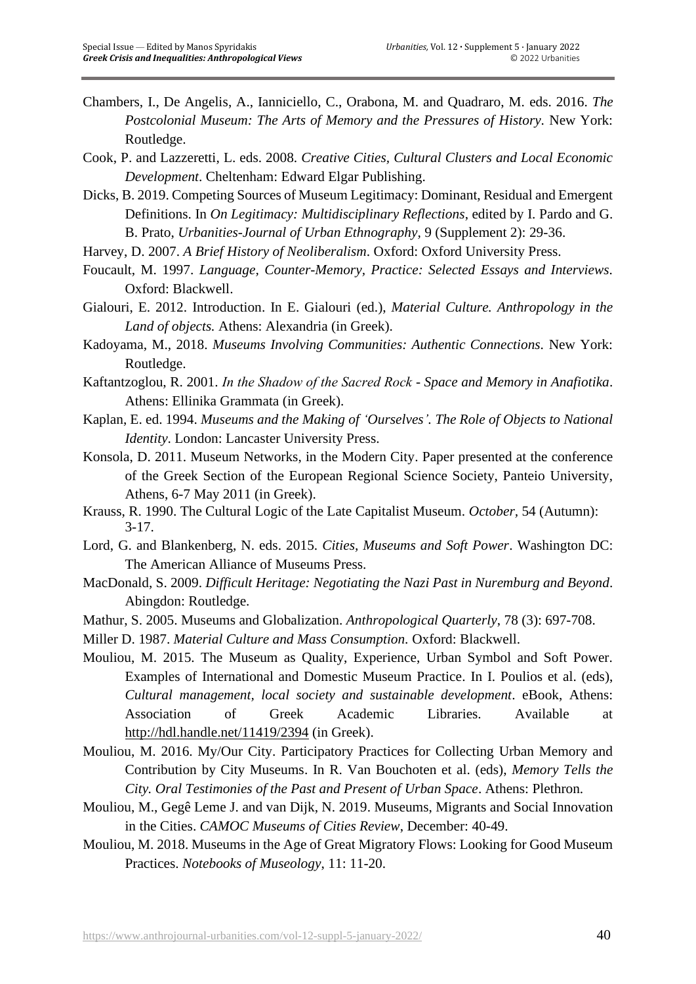- Chambers, I., De Angelis, A., Ianniciello, C., Orabona, M. and Quadraro, M. eds. 2016. *The Postcolonial Museum: The Arts of Memory and the Pressures of History.* New York: Routledge.
- Cook, P. and Lazzeretti, L. eds. 2008. *Creative Cities, Cultural Clusters and Local Economic Development*. Cheltenham: Edward Elgar Publishing.
- Dicks, B. 2019. Competing Sources of Museum Legitimacy: Dominant, Residual and Emergent Definitions. In *On Legitimacy: Multidisciplinary Reflections*, edited by I. Pardo and G. B. Prato, *Urbanities-Journal of Urban Ethnography,* 9 (Supplement 2): 29-36.
- Harvey, D. 2007. *A Brief History of Neoliberalism*. Oxford: Oxford University Press.
- Foucault, M. 1997. *Language, Counter-Memory, Practice: Selected Essays and Interviews.* Oxford: Blackwell.
- Gialouri, E. 2012. Introduction. In E. Gialouri (ed.), *Material Culture. Anthropology in the Land of objects.* Athens: Alexandria (in Greek).
- Kadoyama, M., 2018. *Museums Involving Communities: Authentic Connections.* New York: Routledge.
- Kaftantzoglou, R. 2001. *Ιn the Shadow of the Sacred Rock - Space and Memory in Anafiotika*. Athens: Ellinika Grammata (in Greek).
- Kaplan, E. ed. 1994. *Museums and the Making of 'Ourselves'. The Role of Objects to National Identity*. London: Lancaster University Press.
- Konsola, D. 2011. Museum Networks, in the Modern City. Paper presented at the conference of the Greek Section of the European Regional Science Society, Panteio University, Athens, 6-7 May 2011 (in Greek).
- Krauss, R. 1990. The Cultural Logic of the Late Capitalist Museum. *October,* 54 (Autumn): 3-17.
- Lord, G. and Blankenberg, N. eds. 2015. *Cities, Museums and Soft Power*. Washington DC: The American Alliance of Museums Press.
- MacDonald, S. 2009. *Difficult Heritage: Negotiating the Nazi Past in Nuremburg and Beyond*. Abingdon: Routledge.
- Mathur, S. 2005. Museums and Globalization. *Anthropological Quarterly*, 78 (3): 697-708.
- Miller D. 1987. *Material Culture and Mass Consumption.* Oxford: Blackwell.
- Mouliou, M. 2015. The Museum as Quality, Experience, Urban Symbol and Soft Power. Examples of International and Domestic Museum Practice. In I. Poulios et al. (eds), *Cultural management, local society and sustainable development*. eBook, Athens: Association of Greek Academic Libraries. Available at <http://hdl.handle.net/11419/2394> (in Greek).
- Mouliou, M. 2016. My/Our City. Participatory Practices for Collecting Urban Memory and Contribution by City Museums. In R. Van Bouchoten et al. (eds), *Memory Tells the City. Oral Testimonies of the Past and Present of Urban Space*. Athens: Plethron.
- Mouliou, M., Gegê Leme J. and van Dijk, N. 2019. Museums, Migrants and Social Innovation in the Cities. *CAMOC Museums of Cities Review*, December: 40-49.
- Mouliou, M. 2018. Museums in the Age of Great Migratory Flows: Looking for Good Museum Practices. *Notebooks of Museology*, 11: 11-20.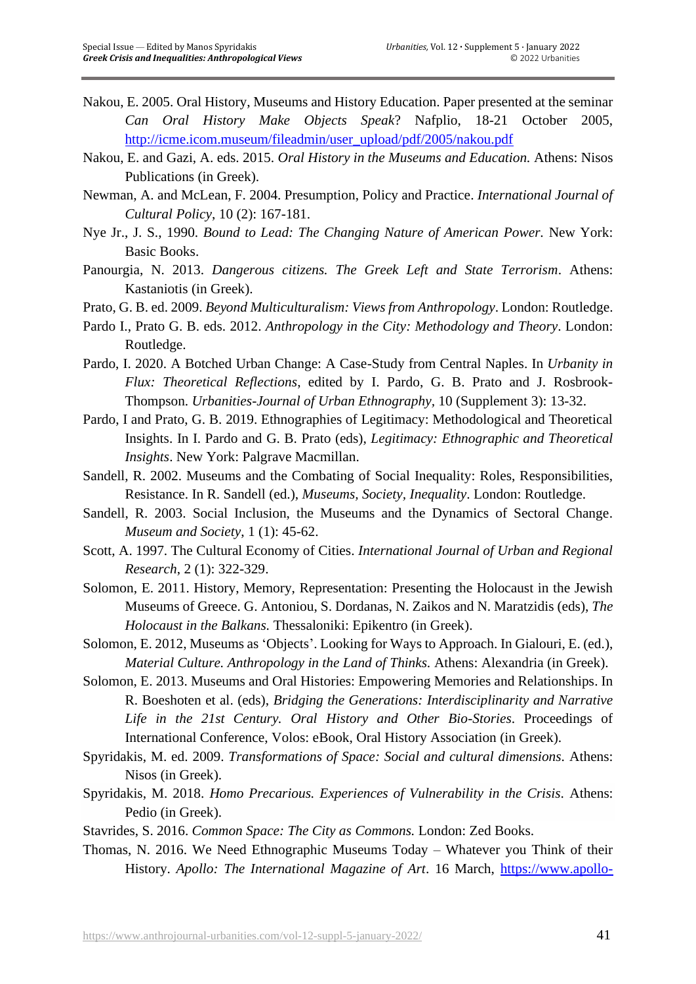- Nakou, E. 2005. Oral History, Museums and History Education. Paper presented at the seminar *Can Oral History Make Objects Speak*? Nafplio, 18-21 October 2005, [http://icme.icom.museum/fileadmin/user\\_upload/pdf/2005/nakou.pdf](http://icme.icom.museum/fileadmin/user_upload/pdf/2005/nakou.pdf)
- Nakou, E. and Gazi, A. eds. 2015. *Oral History in the Museums and Education.* Athens: Nisos Publications (in Greek).
- Newman, A. and McLean, F. 2004. Presumption, Policy and Practice. *International Journal of Cultural Policy*, 10 (2): 167-181.
- Nye Jr., J. S., 1990. *Bound to Lead: The Changing Nature of American Power.* New York: Basic Books.
- Panourgia, N. 2013. *Dangerous citizens. The Greek Left and State Terrorism*. Athens: Kastaniotis (in Greek).
- Prato, G. B. ed. 2009. *Beyond Multiculturalism: Views from Anthropology*. London: Routledge.
- [Pardo](https://www.routledge.com/search?author=Italo%20Pardo) I., [Prato](https://www.routledge.com/search?author=Giuliana%20B.%20Prato) G. B. eds. 2012. *Anthropology in the City: Methodology and Theory*. London: Routledge.
- Pardo, I. 2020. A Botched Urban Change: A Case-Study from Central Naples. In *Urbanity in Flux: Theoretical Reflections*, edited by I. Pardo, G. B. Prato and J. Rosbrook-Thompson. *Urbanities-Journal of Urban Ethnography,* 10 (Supplement 3): 13-32.
- Pardo, I and Prato, G. B. 2019. Ethnographies of Legitimacy: Methodological and Theoretical Insights. In I. Pardo and G. B. Prato (eds), *Legitimacy: Ethnographic and Theoretical Insights*. New York: Palgrave Macmillan.
- Sandell, R. 2002. Museums and the Combating of Social Inequality: Roles, Responsibilities, Resistance. In R. Sandell (ed.), *Museums, Society, Inequality*. London: Routledge.
- Sandell, R. 2003. Social Inclusion, the Museums and the Dynamics of Sectoral Change. *Museum and Society*, 1 (1): 45-62.
- Scott, A. 1997. The Cultural Economy of Cities. *International Journal of Urban and Regional Research*, 2 (1): 322-329.
- Solomon, E. 2011. History, Memory, Representation: Presenting the Holocaust in the Jewish Museums of Greece. G. Antoniou, S. Dordanas, N. Zaikos and N. Maratzidis (eds), *The Holocaust in the Balkans.* Thessaloniki: Epikentro (in Greek).
- Solomon, E. 2012, Museums as 'Objects'. Looking for Ways to Approach. In Gialouri, E. (ed.), *Material Culture. Anthropology in the Land of Thinks.* Athens: Alexandria (in Greek).
- Solomon, E. 2013. Museums and Oral Histories: Empowering Memories and Relationships. In R. Boeshoten et al. (eds), *Bridging the Generations: Interdisciplinarity and Narrative Life in the 21st Century. Oral History and Other Bio-Stories*. Proceedings of International Conference, Volos: eBook, Oral History Association (in Greek).
- Spyridakis, M. ed. 2009. *Transformations of Space: Social and cultural dimensions.* Athens: Nisos (in Greek).
- Spyridakis, M. 2018. *Homo Precarious. Experiences of Vulnerability in the Crisis.* Athens: Pedio (in Greek).
- Stavrides, S. 2016. *Common Space: The City as Commons.* London: Zed Books.
- Thomas, N. 2016. We Need Ethnographic Museums Today Whatever you Think of their History. *Apollo: The International Magazine of Art*. 16 March, [https://www.apollo-](https://www.apollo-magazine.com/we-need-ethnographic-museums-today-whatever-you-think-of-their-past)